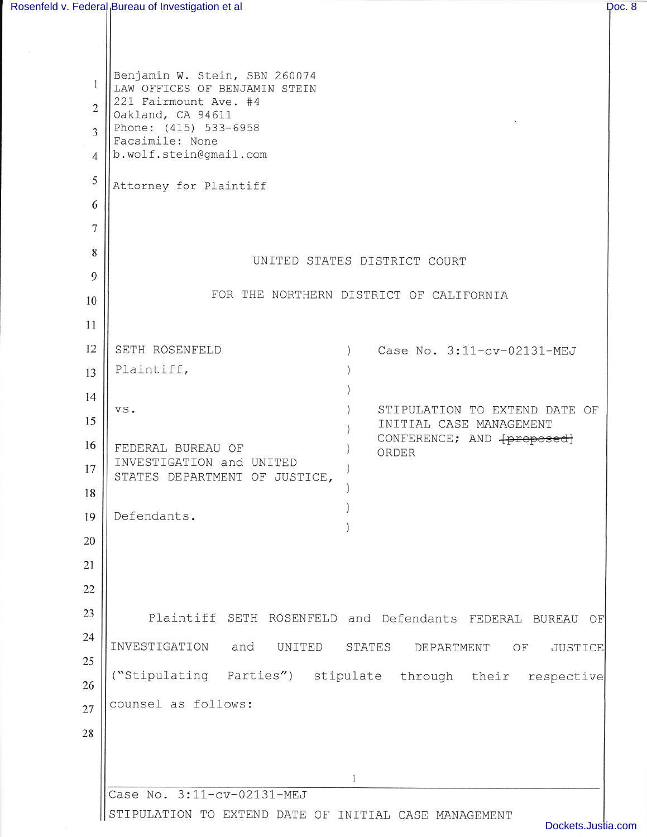Ш

| 1<br>$\overline{2}$<br>3<br>4 | Benjamin W. Stein, SBN 260074<br>LAW OFFICES OF BENJAMIN STEIN<br>221 Fairmount Ave. #4<br>Oakland, CA 94611<br>Phone: (415) 533-6958<br>Facsimile: None<br>b.wolf.stein@gmail.com |  |  |  |  |  |
|-------------------------------|------------------------------------------------------------------------------------------------------------------------------------------------------------------------------------|--|--|--|--|--|
| 5<br>6                        | Attorney for Plaintiff                                                                                                                                                             |  |  |  |  |  |
| 7                             |                                                                                                                                                                                    |  |  |  |  |  |
| 8                             | UNITED STATES DISTRICT COURT                                                                                                                                                       |  |  |  |  |  |
| 9                             |                                                                                                                                                                                    |  |  |  |  |  |
| 10                            | FOR THE NORTHERN DISTRICT OF CALIFORNIA                                                                                                                                            |  |  |  |  |  |
| 11                            |                                                                                                                                                                                    |  |  |  |  |  |
| 12                            | SETH ROSENFELD<br>Case No. 3:11-cv-02131-MEJ                                                                                                                                       |  |  |  |  |  |
| 13                            | Plaintiff,                                                                                                                                                                         |  |  |  |  |  |
| 14                            | VS.                                                                                                                                                                                |  |  |  |  |  |
| 15                            | STIPULATION TO EXTEND DATE OF<br>INITIAL CASE MANAGEMENT                                                                                                                           |  |  |  |  |  |
| 16                            | CONFERENCE; AND [proposed]<br>FEDERAL BUREAU OF<br>ORDER                                                                                                                           |  |  |  |  |  |
| 17                            | INVESTIGATION and UNITED<br>STATES DEPARTMENT OF JUSTICE,                                                                                                                          |  |  |  |  |  |
| 18                            |                                                                                                                                                                                    |  |  |  |  |  |
| 19                            | Defendants.                                                                                                                                                                        |  |  |  |  |  |
| 20                            |                                                                                                                                                                                    |  |  |  |  |  |
| 21                            |                                                                                                                                                                                    |  |  |  |  |  |
| 22                            |                                                                                                                                                                                    |  |  |  |  |  |
| 23                            | Plaintiff SETH ROSENFELD and Defendants FEDERAL BUREAU OF                                                                                                                          |  |  |  |  |  |
| 24                            | INVESTIGATION<br>and<br>UNITED<br>STATES<br>DEPARTMENT<br>OF<br><b>JUSTICE</b>                                                                                                     |  |  |  |  |  |
| 25                            |                                                                                                                                                                                    |  |  |  |  |  |
| 26                            | ("Stipulating Parties") stipulate through their respective                                                                                                                         |  |  |  |  |  |
| 27                            | counsel as follows:                                                                                                                                                                |  |  |  |  |  |
| 28                            |                                                                                                                                                                                    |  |  |  |  |  |
|                               |                                                                                                                                                                                    |  |  |  |  |  |
|                               | 1<br>Case No. 3:11-cv-02131-MEJ                                                                                                                                                    |  |  |  |  |  |
|                               |                                                                                                                                                                                    |  |  |  |  |  |
|                               | STIPULATION TO EXTEND DATE OF INITIAL CASE MANAGEMENT                                                                                                                              |  |  |  |  |  |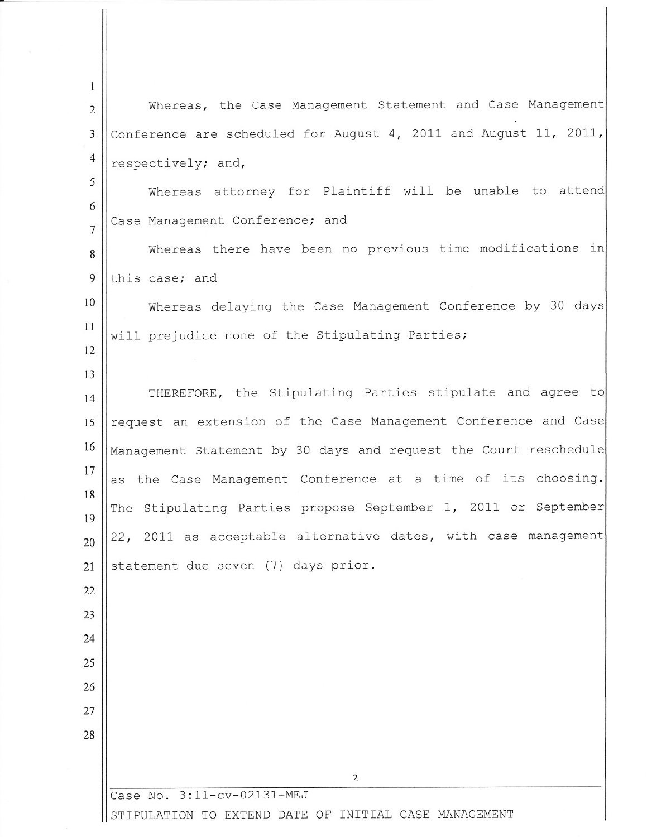| 1                   |                                                                                     |  |  |  |  |  |
|---------------------|-------------------------------------------------------------------------------------|--|--|--|--|--|
| $\overline{c}$      | Whereas, the Case Management Statement and Case Management                          |  |  |  |  |  |
| 3                   | Conference are scheduled for August 4, 2011 and August 11, 2011,                    |  |  |  |  |  |
| $\overline{4}$      | respectively; and,                                                                  |  |  |  |  |  |
| 5                   | Whereas attorney for Plaintiff will be unable to attend                             |  |  |  |  |  |
| 6<br>$\overline{7}$ | Case Management Conference; and                                                     |  |  |  |  |  |
| 8                   | Whereas there have been no previous time modifications in                           |  |  |  |  |  |
| 9                   | this case; and                                                                      |  |  |  |  |  |
| 10                  | Whereas delaying the Case Management Conference by 30 days                          |  |  |  |  |  |
| 11                  | will prejudice none of the Stipulating Parties;                                     |  |  |  |  |  |
| 12                  |                                                                                     |  |  |  |  |  |
| 13<br>14            | THEREFORE, the Stipulating Parties stipulate and agree to                           |  |  |  |  |  |
| 15                  | request an extension of the Case Management Conference and Case                     |  |  |  |  |  |
| 16                  | Management Statement by 30 days and request the Court reschedule                    |  |  |  |  |  |
| 17                  | as the Case Management Conference at a time of its choosing.                        |  |  |  |  |  |
| 18                  | The Stipulating Parties propose September 1, 2011 or September                      |  |  |  |  |  |
| 19                  |                                                                                     |  |  |  |  |  |
| 20                  | 22, 2011 as acceptable alternative dates, with case management                      |  |  |  |  |  |
| 21                  | statement due seven (7) days prior.                                                 |  |  |  |  |  |
| 22                  |                                                                                     |  |  |  |  |  |
| 23<br>24            |                                                                                     |  |  |  |  |  |
| 25                  |                                                                                     |  |  |  |  |  |
| 26                  |                                                                                     |  |  |  |  |  |
| 27                  |                                                                                     |  |  |  |  |  |
| 28                  |                                                                                     |  |  |  |  |  |
|                     |                                                                                     |  |  |  |  |  |
|                     | 2                                                                                   |  |  |  |  |  |
|                     | Case No. 3:11-cv-02131-MEJ<br>STIPULATION TO EXTEND DATE OF INITIAL CASE MANAGEMENT |  |  |  |  |  |
|                     |                                                                                     |  |  |  |  |  |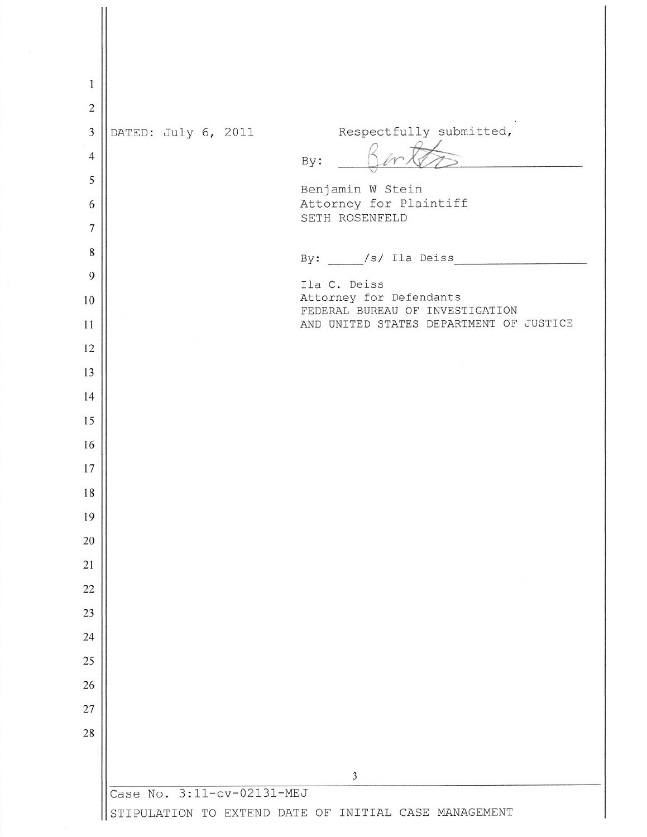| 1              |                                                       |                                          |  |  |
|----------------|-------------------------------------------------------|------------------------------------------|--|--|
| $\sqrt{2}$     |                                                       |                                          |  |  |
| 3              | DATED: July 6, 2011                                   | Respectfully submitted,                  |  |  |
| $\overline{4}$ | By:                                                   |                                          |  |  |
| 5              |                                                       | Benjamin W Stein                         |  |  |
| 6              |                                                       | Attorney for Plaintiff<br>SETH ROSENFELD |  |  |
| 7              |                                                       |                                          |  |  |
| 8              |                                                       | By: /s/ Ila Deiss                        |  |  |
| 9              | Ila C. Deiss                                          | Attorney for Defendants                  |  |  |
| 10             |                                                       | FEDERAL BUREAU OF INVESTIGATION          |  |  |
| 11<br>12       |                                                       | AND UNITED STATES DEPARTMENT OF JUSTICE  |  |  |
| 13             |                                                       |                                          |  |  |
| 14             |                                                       |                                          |  |  |
| 15             |                                                       |                                          |  |  |
| 16             |                                                       |                                          |  |  |
| 17             |                                                       |                                          |  |  |
| 18             |                                                       |                                          |  |  |
| 19             |                                                       |                                          |  |  |
| 20             |                                                       |                                          |  |  |
| 21             |                                                       |                                          |  |  |
| 22             |                                                       |                                          |  |  |
| 23             |                                                       |                                          |  |  |
| 24             |                                                       |                                          |  |  |
| 25             |                                                       |                                          |  |  |
| 26             |                                                       |                                          |  |  |
| 27             |                                                       |                                          |  |  |
| 28             |                                                       |                                          |  |  |
|                |                                                       | 3                                        |  |  |
|                | Case No. 3:11-cv-02131-MEJ                            |                                          |  |  |
|                | STIPULATION TO EXTEND DATE OF INITIAL CASE MANAGEMENT |                                          |  |  |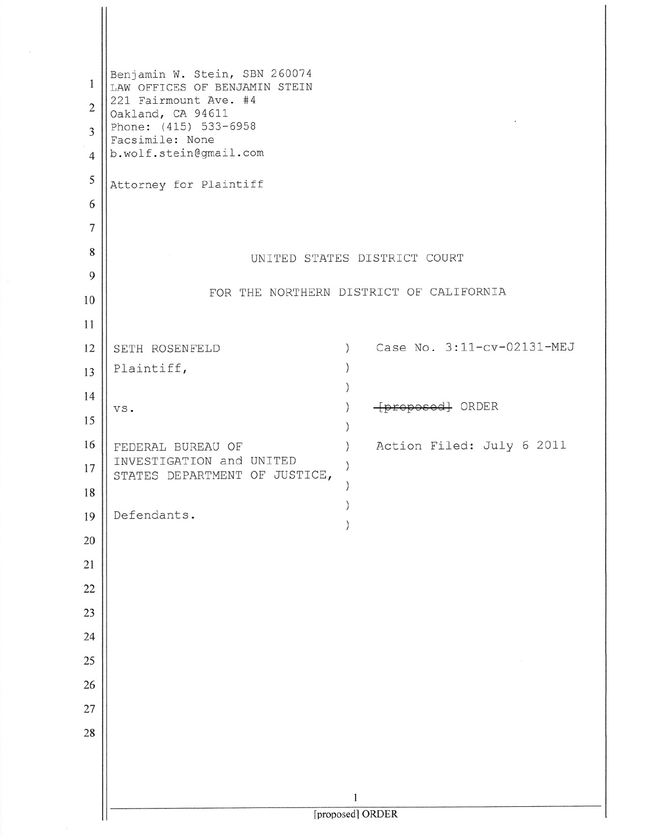| 1<br>$\overline{c}$<br>3<br>$\overline{4}$ | Benjamin W. Stein, SBN 260074<br>LAW OFFICES OF BENJAMIN STEIN<br>221 Fairmount Ave. #4<br>Oakland, CA 94611<br>Phone: (415) 533-6958<br>Facsimile: None<br>b.wolf.stein@gmail.com |               |                                         |  |  |  |
|--------------------------------------------|------------------------------------------------------------------------------------------------------------------------------------------------------------------------------------|---------------|-----------------------------------------|--|--|--|
| 5                                          | Attorney for Plaintiff                                                                                                                                                             |               |                                         |  |  |  |
| 6                                          |                                                                                                                                                                                    |               |                                         |  |  |  |
| 7                                          |                                                                                                                                                                                    |               |                                         |  |  |  |
| 8                                          |                                                                                                                                                                                    |               | UNITED STATES DISTRICT COURT            |  |  |  |
| 9                                          |                                                                                                                                                                                    |               |                                         |  |  |  |
| 10                                         |                                                                                                                                                                                    |               | FOR THE NORTHERN DISTRICT OF CALIFORNIA |  |  |  |
| 11                                         |                                                                                                                                                                                    |               |                                         |  |  |  |
| 12                                         | SETH ROSENFELD                                                                                                                                                                     | $\mathcal{E}$ | Case No. 3:11-cv-02131-MEJ              |  |  |  |
| 13                                         | Plaintiff,                                                                                                                                                                         |               |                                         |  |  |  |
| 14                                         |                                                                                                                                                                                    |               |                                         |  |  |  |
| 15                                         | VS.                                                                                                                                                                                |               | [proposed] ORDER                        |  |  |  |
| 16                                         | FEDERAL BUREAU OF                                                                                                                                                                  | $\mathcal{C}$ | Action Filed: July 6 2011               |  |  |  |
| 17                                         | INVESTIGATION and UNITED                                                                                                                                                           |               |                                         |  |  |  |
| 18                                         | STATES DEPARTMENT OF JUSTICE,                                                                                                                                                      |               |                                         |  |  |  |
| 19                                         | Defendants.                                                                                                                                                                        |               |                                         |  |  |  |
| 20                                         |                                                                                                                                                                                    |               |                                         |  |  |  |
| 21                                         |                                                                                                                                                                                    |               |                                         |  |  |  |
| 22                                         |                                                                                                                                                                                    |               |                                         |  |  |  |
| 23                                         |                                                                                                                                                                                    |               |                                         |  |  |  |
| 24                                         |                                                                                                                                                                                    |               |                                         |  |  |  |
| 25                                         |                                                                                                                                                                                    |               |                                         |  |  |  |
|                                            |                                                                                                                                                                                    |               |                                         |  |  |  |
| 26                                         |                                                                                                                                                                                    |               |                                         |  |  |  |
| 27                                         |                                                                                                                                                                                    |               |                                         |  |  |  |
| 28                                         |                                                                                                                                                                                    |               |                                         |  |  |  |
|                                            |                                                                                                                                                                                    |               |                                         |  |  |  |
|                                            |                                                                                                                                                                                    | 1             |                                         |  |  |  |
|                                            | [proposed] ORDER                                                                                                                                                                   |               |                                         |  |  |  |
|                                            |                                                                                                                                                                                    |               |                                         |  |  |  |